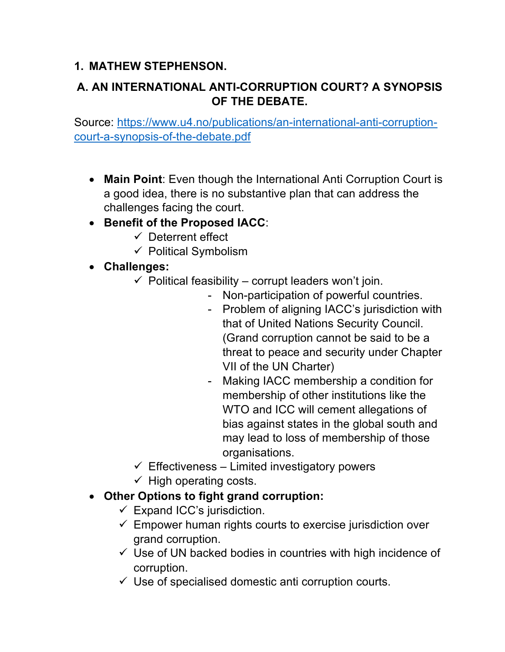## **1. MATHEW STEPHENSON.**

# **A. AN INTERNATIONAL ANTI-CORRUPTION COURT? A SYNOPSIS OF THE DEBATE.**

Source: https://www.u4.no/publications/an-international-anti-corruptioncourt-a-synopsis-of-the-debate.pdf

- **Main Point**: Even though the International Anti Corruption Court is a good idea, there is no substantive plan that can address the challenges facing the court.
- **Benefit of the Proposed IACC**:
	- $\checkmark$  Deterrent effect
	- $\checkmark$  Political Symbolism
- **Challenges:** 
	- $\checkmark$  Political feasibility corrupt leaders won't join.
		- Non-participation of powerful countries.
		- Problem of aligning IACC's jurisdiction with that of United Nations Security Council. (Grand corruption cannot be said to be a threat to peace and security under Chapter VII of the UN Charter)
		- Making IACC membership a condition for membership of other institutions like the WTO and ICC will cement allegations of bias against states in the global south and may lead to loss of membership of those organisations.
	- $\checkmark$  Effectiveness Limited investigatory powers
	- $\checkmark$  High operating costs.
- **Other Options to fight grand corruption:**
	- $\checkmark$  Expand ICC's jurisdiction.
	- $\checkmark$  Empower human rights courts to exercise jurisdiction over grand corruption.
	- $\checkmark$  Use of UN backed bodies in countries with high incidence of corruption.
	- $\checkmark$  Use of specialised domestic anti corruption courts.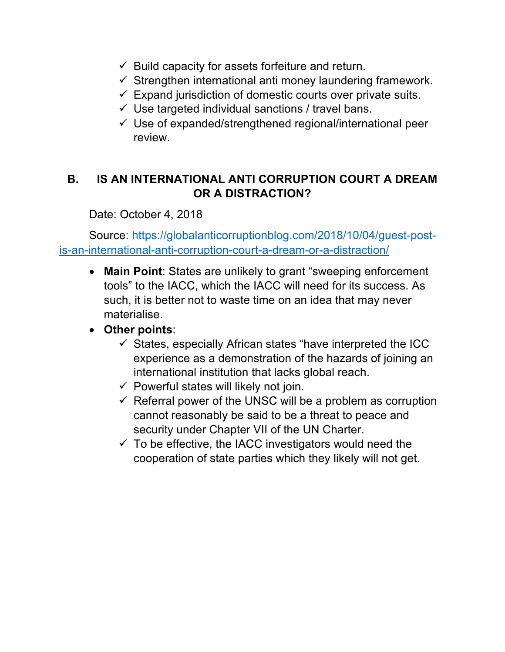- $\checkmark$  Build capacity for assets forfeiture and return.
- $\checkmark$  Strengthen international anti money laundering framework.
- $\checkmark$  Expand jurisdiction of domestic courts over private suits.
- $\checkmark$  Use targeted individual sanctions / travel bans.
- $\checkmark$  Use of expanded/strengthened regional/international peer review.

## **B. IS AN INTERNATIONAL ANTI CORRUPTION COURT A DREAM OR A DISTRACTION?**

Date: October 4, 2018

Source: https://globalanticorruptionblog.com/2018/10/04/guest-postis-an-international-anti-corruption-court-a-dream-or-a-distraction/

• **Main Point**: States are unlikely to grant "sweeping enforcement tools" to the IACC, which the IACC will need for its success. As such, it is better not to waste time on an idea that may never materialise.

# • **Other points**:

- $\checkmark$  States, especially African states "have interpreted the ICC experience as a demonstration of the hazards of joining an international institution that lacks global reach.
- $\checkmark$  Powerful states will likely not join.
- $\checkmark$  Referral power of the UNSC will be a problem as corruption cannot reasonably be said to be a threat to peace and security under Chapter VII of the UN Charter.
- $\checkmark$  To be effective, the IACC investigators would need the cooperation of state parties which they likely will not get.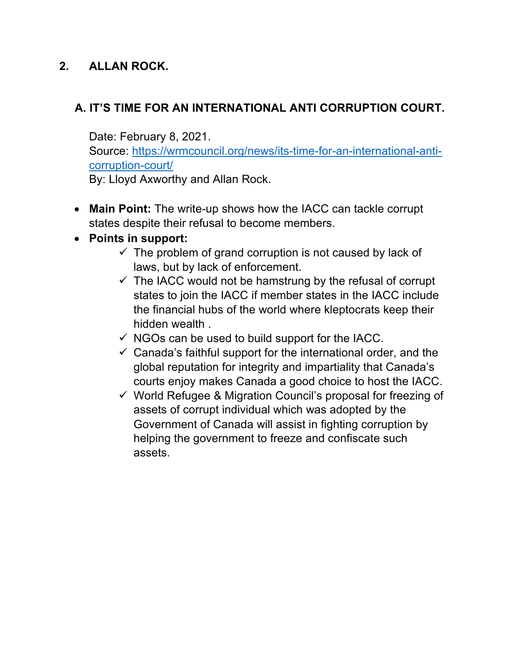## **2. ALLAN ROCK.**

# **A. IT'S TIME FOR AN INTERNATIONAL ANTI CORRUPTION COURT.**

Date: February 8, 2021.

Source: https://wrmcouncil.org/news/its-time-for-an-international-anticorruption-court/

By: Lloyd Axworthy and Allan Rock.

• **Main Point:** The write-up shows how the IACC can tackle corrupt states despite their refusal to become members.

#### • **Points in support:**

- $\checkmark$  The problem of grand corruption is not caused by lack of laws, but by lack of enforcement.
- $\checkmark$  The IACC would not be hamstrung by the refusal of corrupt states to join the IACC if member states in the IACC include the financial hubs of the world where kleptocrats keep their hidden wealth .
- $\checkmark$  NGOs can be used to build support for the IACC.
- $\checkmark$  Canada's faithful support for the international order, and the global reputation for integrity and impartiality that Canada's courts enjoy makes Canada a good choice to host the IACC.
- $\checkmark$  World Refugee & Migration Council's proposal for freezing of assets of corrupt individual which was adopted by the Government of Canada will assist in fighting corruption by helping the government to freeze and confiscate such assets.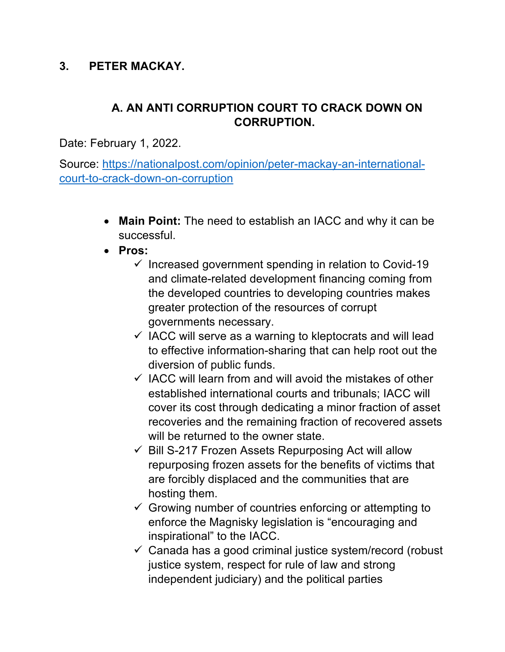#### **3. PETER MACKAY.**

### **A. AN ANTI CORRUPTION COURT TO CRACK DOWN ON CORRUPTION.**

Date: February 1, 2022.

Source: https://nationalpost.com/opinion/peter-mackay-an-internationalcourt-to-crack-down-on-corruption

- **Main Point:** The need to establish an IACC and why it can be successful.
- **Pros:**
	- $\checkmark$  Increased government spending in relation to Covid-19 and climate-related development financing coming from the developed countries to developing countries makes greater protection of the resources of corrupt governments necessary.
	- $\checkmark$  IACC will serve as a warning to kleptocrats and will lead to effective information-sharing that can help root out the diversion of public funds.
	- $\checkmark$  IACC will learn from and will avoid the mistakes of other established international courts and tribunals; IACC will cover its cost through dedicating a minor fraction of asset recoveries and the remaining fraction of recovered assets will be returned to the owner state.
	- $\checkmark$  Bill S-217 Frozen Assets Repurposing Act will allow repurposing frozen assets for the benefits of victims that are forcibly displaced and the communities that are hosting them.
	- $\checkmark$  Growing number of countries enforcing or attempting to enforce the Magnisky legislation is "encouraging and inspirational" to the IACC.
	- $\checkmark$  Canada has a good criminal justice system/record (robust justice system, respect for rule of law and strong independent judiciary) and the political parties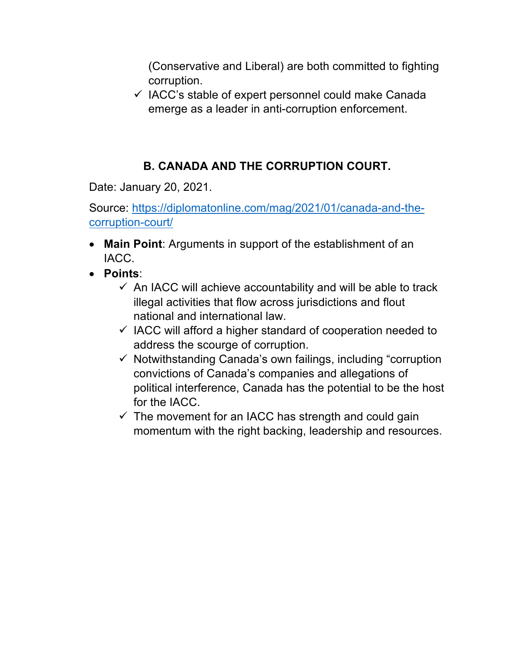(Conservative and Liberal) are both committed to fighting corruption.

 $\checkmark$  IACC's stable of expert personnel could make Canada emerge as a leader in anti-corruption enforcement.

# **B. CANADA AND THE CORRUPTION COURT.**

Date: January 20, 2021.

Source: https://diplomatonline.com/mag/2021/01/canada-and-thecorruption-court/

- **Main Point**: Arguments in support of the establishment of an IACC.
- **Points**:
	- $\checkmark$  An IACC will achieve accountability and will be able to track illegal activities that flow across jurisdictions and flout national and international law.
	- $\checkmark$  IACC will afford a higher standard of cooperation needed to address the scourge of corruption.
	- $\checkmark$  Notwithstanding Canada's own failings, including "corruption convictions of Canada's companies and allegations of political interference, Canada has the potential to be the host for the IACC.
	- $\checkmark$  The movement for an IACC has strength and could gain momentum with the right backing, leadership and resources.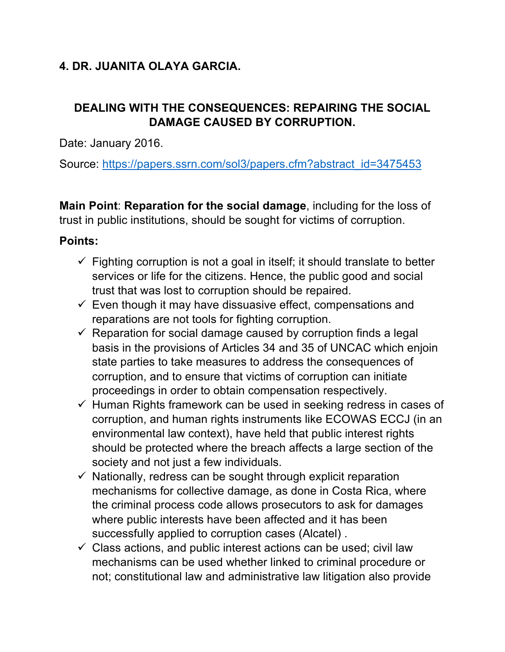# **4. DR. JUANITA OLAYA GARCIA.**

## **DEALING WITH THE CONSEQUENCES: REPAIRING THE SOCIAL DAMAGE CAUSED BY CORRUPTION.**

Date: January 2016.

Source: https://papers.ssrn.com/sol3/papers.cfm?abstract\_id=3475453

**Main Point**: **Reparation for the social damage**, including for the loss of trust in public institutions, should be sought for victims of corruption.

### **Points:**

- $\checkmark$  Fighting corruption is not a goal in itself; it should translate to better services or life for the citizens. Hence, the public good and social trust that was lost to corruption should be repaired.
- $\checkmark$  Even though it may have dissuasive effect, compensations and reparations are not tools for fighting corruption.
- $\checkmark$  Reparation for social damage caused by corruption finds a legal basis in the provisions of Articles 34 and 35 of UNCAC which enjoin state parties to take measures to address the consequences of corruption, and to ensure that victims of corruption can initiate proceedings in order to obtain compensation respectively.
- $\checkmark$  Human Rights framework can be used in seeking redress in cases of corruption, and human rights instruments like ECOWAS ECCJ (in an environmental law context), have held that public interest rights should be protected where the breach affects a large section of the society and not just a few individuals.
- $\checkmark$  Nationally, redress can be sought through explicit reparation mechanisms for collective damage, as done in Costa Rica, where the criminal process code allows prosecutors to ask for damages where public interests have been affected and it has been successfully applied to corruption cases (Alcatel) .
- $\checkmark$  Class actions, and public interest actions can be used; civil law mechanisms can be used whether linked to criminal procedure or not; constitutional law and administrative law litigation also provide